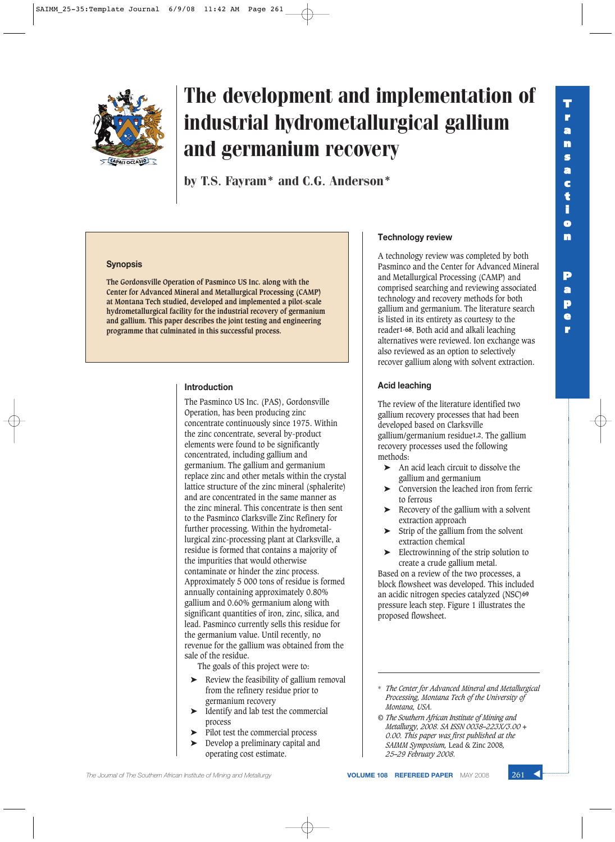

# The development and implementation of industrial hydrometallurgical gallium and germanium recovery

by T.S. Fayram\* and C.G. Anderson\*

### **Synopsis**

**The Gordonsville Operation of Pasminco US Inc. along with the Center for Advanced Mineral and Metallurgical Processing (CAMP) at Montana Tech studied, developed and implemented a pilot-scale hydrometallurgical facility for the industrial recovery of germanium and gallium. This paper describes the joint testing and engineering programme that culminated in this successful process.**

### **Introduction**

The Pasminco US Inc. (PAS), Gordonsville Operation, has been producing zinc concentrate continuously since 1975. Within the zinc concentrate, several by-product elements were found to be significantly concentrated, including gallium and germanium. The gallium and germanium replace zinc and other metals within the crystal lattice structure of the zinc mineral (sphalerite) and are concentrated in the same manner as the zinc mineral. This concentrate is then sent to the Pasminco Clarksville Zinc Refinery for further processing. Within the hydrometallurgical zinc-processing plant at Clarksville, a residue is formed that contains a majority of the impurities that would otherwise contaminate or hinder the zinc process. Approximately 5 000 tons of residue is formed annually containing approximately 0.80% gallium and 0.60% germanium along with significant quantities of iron, zinc, silica, and lead. Pasminco currently sells this residue for the germanium value. Until recently, no revenue for the gallium was obtained from the sale of the residue.

The goals of this project were to:

- ➤ Review the feasibility of gallium removal from the refinery residue prior to germanium recovery
- ➤ Identify and lab test the commercial process
- Pilot test the commercial process
- Develop a preliminary capital and operating cost estimate.

### **Technology review**

A technology review was completed by both Pasminco and the Center for Advanced Mineral and Metallurgical Processing (CAMP) and comprised searching and reviewing associated technology and recovery methods for both gallium and germanium. The literature search is listed in its entirety as courtesy to the reader**1-68**. Both acid and alkali leaching alternatives were reviewed. Ion exchange was also reviewed as an option to selectively recover gallium along with solvent extraction.

**T r a n s a c t i o n**

**P a p e r**

### **Acid leaching**

The review of the literature identified two gallium recovery processes that had been developed based on Clarksville gallium/germanium residue**1,2**. The gallium recovery processes used the following methods:

- ➤ An acid leach circuit to dissolve the gallium and germanium
- ➤ Conversion the leached iron from ferric to ferrous
- ➤ Recovery of the gallium with a solvent extraction approach
- Strip of the gallium from the solvent extraction chemical
- Electrowinning of the strip solution to create a crude gallium metal.

Based on a review of the two processes, a block flowsheet was developed. This included an acidic nitrogen species catalyzed (NSC)**69** pressure leach step. Figure 1 illustrates the proposed flowsheet.

- \* *The Center for Advanced Mineral and Metallurgical Processing, Montana Tech of the University of Montana, USA.*
- *© The Southern African Institute of Mining and Metallurgy, 2008. SA ISSN 0038–223X/3.00 + 0.00. This paper was first published at the SAIMM Symposium,* Lead & Zinc 2008*, 25–29 February 2008.*

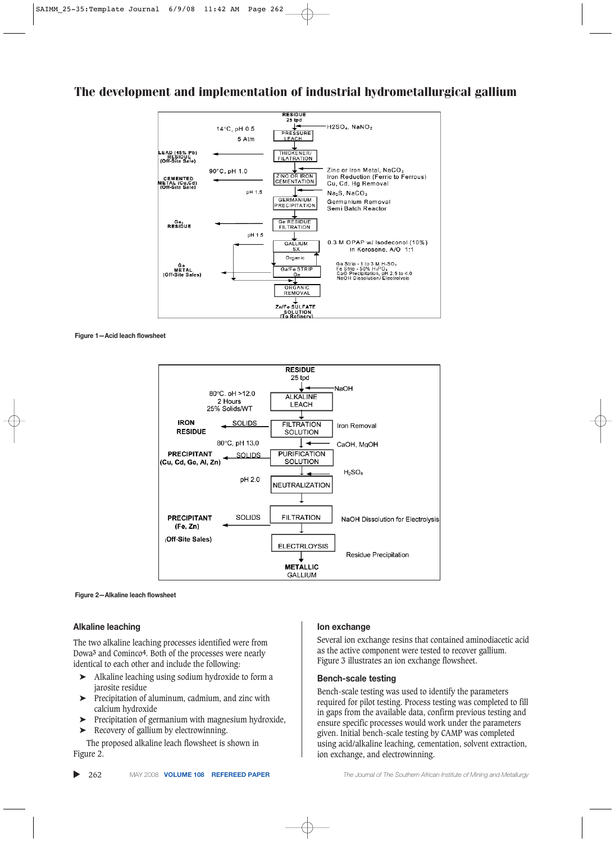

**Figure 1—Acid leach flowsheet**



**Figure 2—Alkaline leach flowsheet**

#### **Alkaline leaching**

The two alkaline leaching processes identified were from Dowa**3** and Cominco**4**. Both of the processes were nearly identical to each other and include the following:

- ➤ Alkaline leaching using sodium hydroxide to form a jarosite residue
- ➤ Precipitation of aluminum, cadmium, and zinc with calcium hydroxide
- ➤ Precipitation of germanium with magnesium hydroxide,
- ➤ Recovery of gallium by electrowinning.

The proposed alkaline leach flowsheet is shown in Figure 2.

### **Ion exchange**

Several ion exchange resins that contained aminodiacetic acid as the active component were tested to recover gallium. Figure 3 illustrates an ion exchange flowsheet.

### **Bench-scale testing**

Bench-scale testing was used to identify the parameters required for pilot testing. Process testing was completed to fill in gaps from the available data, confirm previous testing and ensure specific processes would work under the parameters given. Initial bench-scale testing by CAMP was completed using acid/alkaline leaching, cementation, solvent extraction, ion exchange, and electrowinning.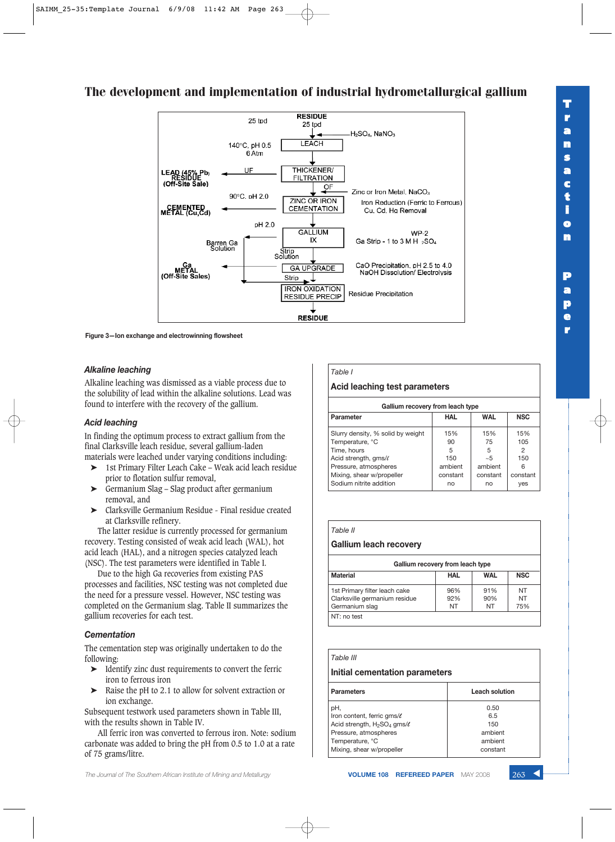#### **RESIDUE**  $25$  tpd 25 tpd H<sub>2</sub>SO<sub>4</sub>, NaNO<sub>3</sub> **LEACH** 140°C, pH 0.5 6 Atm THICKFNFR/ UE LEAD (45% Pb)<br>RESIDUE<br>(Off-Site Sale) **FILTRATION**  $\mathsf{QF}$ Zinc or Iron Metal, NaCO<sub>3</sub> 90°C. pH 2.0 **ZINC OR IRON** Iron Reduction (Ferric to Ferrous) **CEMENTATION** METAL (Cu,Cd) Cu, Cd, Hg Removal pH 2.0 **GALLIUM**  $WP-2$ IX Ga Strip - 1 to 3 M H 2SO4 Barren Ga<br>Solution Strip<br>Solution CaO Precipitation, pH 2.5 to 4.0<br>NaOH Dissolution/ Electrolysis Ga<br>METAL<br>(Off-Site Sales) **GA UPGRADE** Strip **IRON OXIDATION Residue Precipitation RESIDUE PRECIP RESIDUE**

The development and implementation of industrial hydrometallurgical gallium

**Figure 3—Ion exchange and electrowinning flowsheet**

### *Alkaline leaching*

Alkaline leaching was dismissed as a viable process due to the solubility of lead within the alkaline solutions. Lead was found to interfere with the recovery of the gallium.

### *Acid leaching*

In finding the optimum process to extract gallium from the final Clarksville leach residue, several gallium-laden materials were leached under varying conditions including:

- ➤ 1st Primary Filter Leach Cake Weak acid leach residue prior to flotation sulfur removal,
- ➤ Germanium Slag Slag product after germanium removal, and
- ➤ Clarksville Germanium Residue Final residue created at Clarksville refinery.

The latter residue is currently processed for germanium recovery. Testing consisted of weak acid leach (WAL), hot acid leach (HAL), and a nitrogen species catalyzed leach (NSC). The test parameters were identified in Table I.

Due to the high Ga recoveries from existing PAS processes and facilities, NSC testing was not completed due the need for a pressure vessel. However, NSC testing was completed on the Germanium slag. Table II summarizes the gallium recoveries for each test.

### *Cementation*

The cementation step was originally undertaken to do the following:

- ➤ Identify zinc dust requirements to convert the ferric iron to ferrous iron
- ➤ Raise the pH to 2.1 to allow for solvent extraction or ion exchange.

Subsequent testwork used parameters shown in Table III, with the results shown in Table IV.

All ferric iron was converted to ferrous iron. Note: sodium carbonate was added to bring the pH from 0.5 to 1.0 at a rate of 75 grams/litre.

#### The Journal of The Southern African Institute of Mining and Metallurgy **VOLUME 108 REFEREED PAPER** MAY 2008 263 **4**

### *Table I* **Acid leaching test parameters**

| Gallium recovery from leach type  |            |            |            |  |
|-----------------------------------|------------|------------|------------|--|
| Parameter                         | <b>HAL</b> | <b>WAL</b> | <b>NSC</b> |  |
| Slurry density, % solid by weight | 15%        | 15%        | 15%        |  |
| Temperature, °C                   | 90         | 75         | 105        |  |
| Time, hours                       | 5          | 5          | 2          |  |
| Acid strength, gms/ $\ell$        | 150        | ~5         | 150        |  |
| Pressure, atmospheres             | ambient    | ambient    | 6          |  |
| Mixing, shear w/propeller         | constant   | constant   | constant   |  |
| Sodium nitrite addition           | no         | no         | yes        |  |

| Gallium leach recovery |
|------------------------|
|                        |
| Table II               |

| Gallium recovery from leach type                                                 |                  |                  |                        |
|----------------------------------------------------------------------------------|------------------|------------------|------------------------|
| <b>Material</b>                                                                  | <b>WAL</b>       | <b>NSC</b>       |                        |
| 1st Primary filter leach cake<br>Clarksville germanium residue<br>Germanium slag | 96%<br>92%<br>NT | 91%<br>90%<br>NT | NT<br><b>NT</b><br>75% |
| NT: no test                                                                      |                  |                  |                        |

### *Table III*

### **Initial cementation parameters**

| <b>Parameters</b>                    | Leach solution |
|--------------------------------------|----------------|
| pH.                                  | 0.50           |
| Iron content, ferric gms/ $\ell$     | 6.5            |
| Acid strength, $H_2SO_4$ gms/ $\ell$ | 150            |
| Pressure, atmospheres                | ambient        |
| Temperature, °C                      | ambient        |
| Mixing, shear w/propeller            | constant       |
|                                      |                |

**r**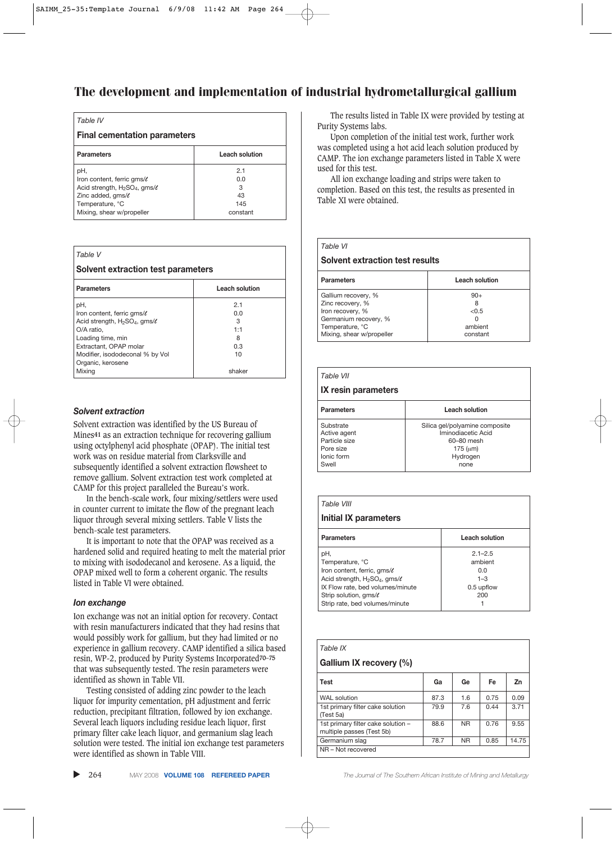| <b>Final cementation parameters</b> |
|-------------------------------------|
| Leach solution                      |
| 2.1                                 |
| 0.0                                 |
| 3                                   |
| 43                                  |
| 145                                 |
| constant                            |
|                                     |

|  | <b>Solvent extraction test parameters</b> |
|--|-------------------------------------------|

| <b>Parameters</b>                      | <b>Leach solution</b> |
|----------------------------------------|-----------------------|
| pH,                                    | 2.1                   |
| Iron content, ferric gms/ $\ell$       | 0.0                   |
| Acid strength, $H_2SO_4$ , gms/ $\ell$ | 3                     |
| O/A ratio,                             | 1:1                   |
| Loading time, min                      | 8                     |
| Extractant, OPAP molar                 | 0.3                   |
| Modifier, isododeconal % by Vol        | 10                    |
| Organic, kerosene                      |                       |
| Mixing                                 | shaker                |

### *Solvent extraction*

*Table V*

Solvent extraction was identified by the US Bureau of Mines**41** as an extraction technique for recovering gallium using octylphenyl acid phosphate (OPAP). The initial test work was on residue material from Clarksville and subsequently identified a solvent extraction flowsheet to remove gallium. Solvent extraction test work completed at CAMP for this project paralleled the Bureau's work.

In the bench-scale work, four mixing/settlers were used in counter current to imitate the flow of the pregnant leach liquor through several mixing settlers. Table V lists the bench-scale test parameters.

It is important to note that the OPAP was received as a hardened solid and required heating to melt the material prior to mixing with isododecanol and kerosene. As a liquid, the OPAP mixed well to form a coherent organic. The results listed in Table VI were obtained.

### *Ion exchange*

Ion exchange was not an initial option for recovery. Contact with resin manufacturers indicated that they had resins that would possibly work for gallium, but they had limited or no experience in gallium recovery. CAMP identified a silica based resin, WP-2, produced by Purity Systems Incorporated**70–75** that was subsequently tested. The resin parameters were identified as shown in Table VII.

Testing consisted of adding zinc powder to the leach liquor for impurity cementation, pH adjustment and ferric reduction, precipitant filtration, followed by ion exchange. Several leach liquors including residue leach liquor, first primary filter cake leach liquor, and germanium slag leach solution were tested. The initial ion exchange test parameters were identified as shown in Table VIII.

The results listed in Table IX were provided by testing at Purity Systems labs.

Upon completion of the initial test work, further work was completed using a hot acid leach solution produced by CAMP. The ion exchange parameters listed in Table X were used for this test.

All ion exchange loading and strips were taken to completion. Based on this test, the results as presented in Table XI were obtained.

| Table VI                        |                |
|---------------------------------|----------------|
| Solvent extraction test results |                |
| <b>Parameters</b>               | Leach solution |
| Gallium recovery, %             | $90+$          |
| Zinc recovery, %                |                |
| Iron recovery, %                | < 0.5          |
| Germanium recovery, %           |                |
| Temperature, °C                 | ambient        |
| Mixing, shear w/propeller       | constant       |

| Table VII           |                       |
|---------------------|-----------------------|
| IX resin parameters |                       |
| <b>Parameters</b>   | <b>Leach solution</b> |

| Substrate     | Silica gel/polyamine composite |
|---------------|--------------------------------|
| Active agent  | Iminodiacetic Acid             |
| Particle size | 60-80 mesh                     |
| Pore size     | 175 (um)                       |
| Ionic form    | Hydrogen                       |
| Swell         | none                           |
|               |                                |

| Table VIII                             |                |
|----------------------------------------|----------------|
| Initial IX parameters                  |                |
| <b>Parameters</b>                      | Leach solution |
| pH.                                    | $2.1 - 2.5$    |
| Temperature, °C                        | ambient        |
| Iron content, ferric, gms/ $\ell$      | n n            |
| Acid strength, $H_2SO_4$ , gms/ $\ell$ | $1 - 3$        |
| IX Flow rate, bed volumes/minute       | 0.5 upflow     |
| Strip solution, gms/ $\ell$            | 200            |
| Strip rate, bed volumes/minute         |                |

| Table IX                                                        |      |           |      |       |
|-----------------------------------------------------------------|------|-----------|------|-------|
| Gallium IX recovery (%)                                         |      |           |      |       |
| <b>Test</b>                                                     | Ga   | Ge        | Fe   | Zn    |
| <b>WAL</b> solution                                             | 87.3 | 1.6       | 0.75 | 0.09  |
| 1st primary filter cake solution<br>(Test 5a)                   | 79.9 | 7.6       | 0.44 | 3.71  |
| 1st primary filter cake solution -<br>multiple passes (Test 5b) | 88.6 | <b>NR</b> | 0.76 | 9.55  |
| Germanium slag                                                  | 78.7 | <b>NR</b> | 0.85 | 14.75 |
| NR - Not recovered                                              |      |           |      |       |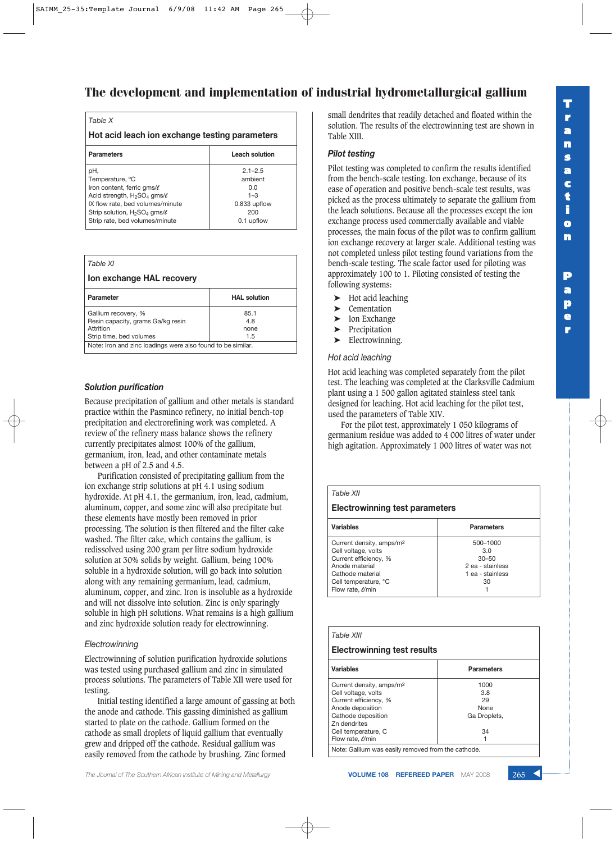| Table X                                                    |                |  |
|------------------------------------------------------------|----------------|--|
| Hot acid leach ion exchange testing parameters             |                |  |
| <b>Parameters</b>                                          | Leach solution |  |
| pH.                                                        | $2.1 - 2.5$    |  |
| Temperature, °C                                            | ambient        |  |
| Iron content, ferric gms/ $\ell$                           | n n            |  |
| Acid strength, $H_2SO_4$ gms/ $\ell$                       | $1 - 3$        |  |
| IX flow rate, bed volumes/minute                           | 0.833 upflow   |  |
| Strip solution, H <sub>2</sub> SO <sub>4</sub> gms/ $\ell$ | 200            |  |
| Strip rate, bed volumes/minute                             | 0.1 upflow     |  |

| Table XI                                                    |                     |  |
|-------------------------------------------------------------|---------------------|--|
| Ion exchange HAL recovery                                   |                     |  |
| <b>Parameter</b>                                            | <b>HAL solution</b> |  |
| Gallium recovery, %                                         | 85.1                |  |
| Resin capacity, grams Ga/kg resin                           | 4.8                 |  |
| Attrition                                                   | none                |  |
| Strip time, bed volumes                                     | 1.5                 |  |
| Note: Iron and zinc loadings were also found to be similar. |                     |  |

### *Solution purification*

Because precipitation of gallium and other metals is standard practice within the Pasminco refinery, no initial bench-top precipitation and electrorefining work was completed. A review of the refinery mass balance shows the refinery currently precipitates almost 100% of the gallium, germanium, iron, lead, and other contaminate metals between a pH of 2.5 and 4.5.

Purification consisted of precipitating gallium from the ion exchange strip solutions at pH 4.1 using sodium hydroxide. At pH 4.1, the germanium, iron, lead, cadmium, aluminum, copper, and some zinc will also precipitate but these elements have mostly been removed in prior processing. The solution is then filtered and the filter cake washed. The filter cake, which contains the gallium, is redissolved using 200 gram per litre sodium hydroxide solution at 30% solids by weight. Gallium, being 100% soluble in a hydroxide solution, will go back into solution along with any remaining germanium, lead, cadmium, aluminum, copper, and zinc. Iron is insoluble as a hydroxide and will not dissolve into solution. Zinc is only sparingly soluble in high pH solutions. What remains is a high gallium and zinc hydroxide solution ready for electrowinning.

#### *Electrowinning*

Electrowinning of solution purification hydroxide solutions was tested using purchased gallium and zinc in simulated process solutions. The parameters of Table XII were used for testing.

Initial testing identified a large amount of gassing at both the anode and cathode. This gassing diminished as gallium started to plate on the cathode. Gallium formed on the cathode as small droplets of liquid gallium that eventually grew and dripped off the cathode. Residual gallium was easily removed from the cathode by brushing. Zinc formed

small dendrites that readily detached and floated within the solution. The results of the electrowinning test are shown in Table XIII.

### *Pilot testing*

Pilot testing was completed to confirm the results identified from the bench-scale testing. Ion exchange, because of its ease of operation and positive bench-scale test results, was picked as the process ultimately to separate the gallium from the leach solutions. Because all the processes except the ion exchange process used commercially available and viable processes, the main focus of the pilot was to confirm gallium ion exchange recovery at larger scale. Additional testing was not completed unless pilot testing found variations from the bench-scale testing. The scale factor used for piloting was approximately 100 to 1. Piloting consisted of testing the following systems:

- ➤ Hot acid leaching
- **Cementation**
- ▶ Ion Exchange
- ➤ Precipitation
- ► Electrowinning.

### *Hot acid leaching*

Hot acid leaching was completed separately from the pilot test. The leaching was completed at the Clarksville Cadmium plant using a 1 500 gallon agitated stainless steel tank designed for leaching. Hot acid leaching for the pilot test, used the parameters of Table XIV.

For the pilot test, approximately 1 050 kilograms of germanium residue was added to 4 000 litres of water under high agitation. Approximately 1 000 litres of water was not

| Table XII                             |                   |  |  |
|---------------------------------------|-------------------|--|--|
| <b>Electrowinning test parameters</b> |                   |  |  |
| <b>Variables</b>                      | <b>Parameters</b> |  |  |
| Current density, amps/m <sup>2</sup>  | 500-1000          |  |  |
| Cell voltage, volts                   | 3.O               |  |  |
| Current efficiency, %                 | $30 - 50$         |  |  |
| Anode material<br>2 ea - stainless    |                   |  |  |
| Cathode material<br>1 ea - stainless  |                   |  |  |
| Cell temperature, °C<br>30            |                   |  |  |
| Flow rate, e/min                      |                   |  |  |

| Table XIII                                                                                                                                                                                |                                                        |  |
|-------------------------------------------------------------------------------------------------------------------------------------------------------------------------------------------|--------------------------------------------------------|--|
| Electrowinning test results                                                                                                                                                               |                                                        |  |
| Variables                                                                                                                                                                                 | <b>Parameters</b>                                      |  |
| Current density, amps/m <sup>2</sup><br>Cell voltage, volts<br>Current efficiency, %<br>Anode deposition<br>Cathode deposition<br>Zn dendrites<br>Cell temperature, C<br>Flow rate, e/min | 1000<br>3.8<br>29<br><b>None</b><br>Ga Droplets,<br>34 |  |
| Note: Gallium was easily removed from the cathode.                                                                                                                                        |                                                        |  |

**p e r**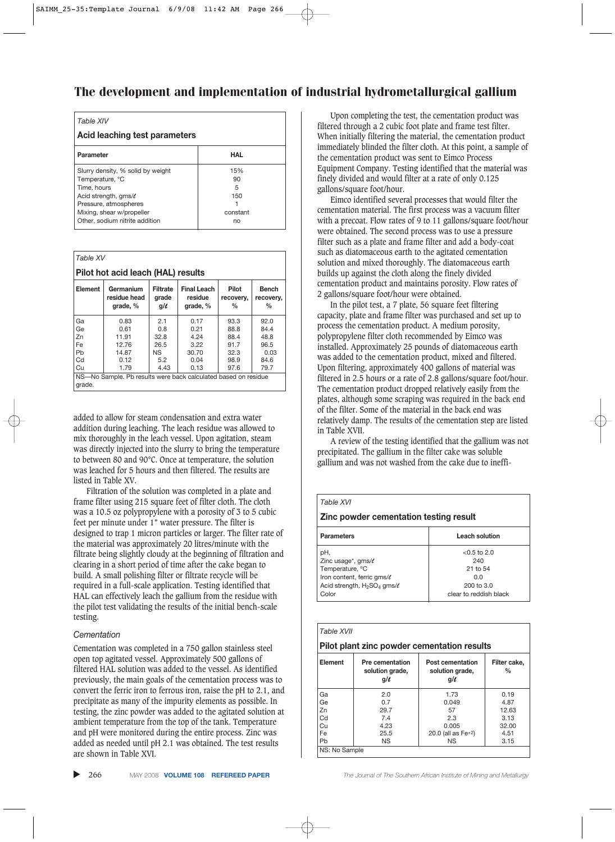| Table XIV                         |            |  |
|-----------------------------------|------------|--|
| Acid leaching test parameters     |            |  |
| Parameter                         | <b>HAL</b> |  |
| Slurry density, % solid by weight | 15%        |  |
| Temperature, °C<br>Time, hours    | 90<br>5    |  |
| Acid strength, gms/ $\ell$        | 150        |  |
| Pressure, atmospheres             |            |  |
| Mixing, shear w/propeller         | constant   |  |
| Other, sodium nitrite addition    | no         |  |

| Table XV                                                       |                                                                                                                                                                  |      |       |      |                           |
|----------------------------------------------------------------|------------------------------------------------------------------------------------------------------------------------------------------------------------------|------|-------|------|---------------------------|
| Pilot hot acid leach (HAL) results                             |                                                                                                                                                                  |      |       |      |                           |
| Element                                                        | Germanium<br><b>Final Leach</b><br><b>Pilot</b><br>Filtrate<br>residue head<br>residue<br>grade<br>recovery,<br>$q/\ell$<br>grade, %<br>grade, %<br>$\%$<br>$\%$ |      |       |      | <b>Bench</b><br>recovery, |
| Ga                                                             | 0.83                                                                                                                                                             | 2.1  | 0.17  | 93.3 | 92.0                      |
| Ge                                                             | 0.61                                                                                                                                                             | 0.8  | 0.21  | 88.8 | 84.4                      |
| Zn                                                             | 11.91                                                                                                                                                            | 32.8 | 4.24  | 88.4 | 48.8                      |
| Fe                                                             | 12.76                                                                                                                                                            | 26.5 | 3.22  | 91.7 | 96.5                      |
| Pb                                                             | 14.87                                                                                                                                                            | ΝS   | 30.70 | 32.3 | 0.03                      |
| Cd                                                             | 0.12                                                                                                                                                             | 5.2  | 0.04  | 98.9 | 84.6                      |
| Cu                                                             | 1.79                                                                                                                                                             | 4.43 | 0.13  | 97.6 | 79.7                      |
| NS-No Sample. Pb results were back calculated based on residue |                                                                                                                                                                  |      |       |      |                           |
| grade.                                                         |                                                                                                                                                                  |      |       |      |                           |

added to allow for steam condensation and extra water addition during leaching. The leach residue was allowed to mix thoroughly in the leach vessel. Upon agitation, steam was directly injected into the slurry to bring the temperature to between 80 and 90°C. Once at temperature, the solution was leached for 5 hours and then filtered. The results are listed in Table XV.

Filtration of the solution was completed in a plate and frame filter using 215 square feet of filter cloth. The cloth was a 10.5 oz polypropylene with a porosity of 3 to 5 cubic feet per minute under 1" water pressure. The filter is designed to trap 1 micron particles or larger. The filter rate of the material was approximately 20 litres/minute with the filtrate being slightly cloudy at the beginning of filtration and clearing in a short period of time after the cake began to build. A small polishing filter or filtrate recycle will be required in a full-scale application. Testing identified that HAL can effectively leach the gallium from the residue with the pilot test validating the results of the initial bench-scale testing.

### *Cementation*

Cementation was completed in a 750 gallon stainless steel open top agitated vessel. Approximately 500 gallons of filtered HAL solution was added to the vessel. As identified previously, the main goals of the cementation process was to convert the ferric iron to ferrous iron, raise the pH to 2.1, and precipitate as many of the impurity elements as possible. In testing, the zinc powder was added to the agitated solution at ambient temperature from the top of the tank. Temperature and pH were monitored during the entire process. Zinc was added as needed until pH 2.1 was obtained. The test results are shown in Table XVI.

Upon completing the test, the cementation product was filtered through a 2 cubic foot plate and frame test filter. When initially filtering the material, the cementation product immediately blinded the filter cloth. At this point, a sample of the cementation product was sent to Eimco Process Equipment Company. Testing identified that the material was finely divided and would filter at a rate of only 0.125 gallons/square foot/hour.

Eimco identified several processes that would filter the cementation material. The first process was a vacuum filter with a precoat. Flow rates of 9 to 11 gallons/square foot/hour were obtained. The second process was to use a pressure filter such as a plate and frame filter and add a body-coat such as diatomaceous earth to the agitated cementation solution and mixed thoroughly. The diatomaceous earth builds up against the cloth along the finely divided cementation product and maintains porosity. Flow rates of 2 gallons/square foot/hour were obtained.

In the pilot test, a 7 plate, 56 square feet filtering capacity, plate and frame filter was purchased and set up to process the cementation product. A medium porosity, polypropylene filter cloth recommended by Eimco was installed. Approximately 25 pounds of diatomaceous earth was added to the cementation product, mixed and filtered. Upon filtering, approximately 400 gallons of material was filtered in 2.5 hours or a rate of 2.8 gallons/square foot/hour. The cementation product dropped relatively easily from the plates, although some scraping was required in the back end of the filter. Some of the material in the back end was relatively damp. The results of the cementation step are listed in Table XVII.

A review of the testing identified that the gallium was not precipitated. The gallium in the filter cake was soluble gallium and was not washed from the cake due to ineffi-

#### *Table XVI*

**Zinc powder cementation testing result**

| <b>Parameters</b>                    | Leach solution         |
|--------------------------------------|------------------------|
| pH,                                  | $< 0.5$ to 2.0         |
| Zinc usage*, gms/ $\ell$             | 240                    |
| Temperature, °C                      | 21 to 54               |
| Iron content, ferric gms/ $\ell$     | n n                    |
| Acid strength, $H_2SO_4$ gms/ $\ell$ | 200 to 3.0             |
| Color                                | clear to reddish black |

| Table XVII    |                                                       |                                                 |                      |  |
|---------------|-------------------------------------------------------|-------------------------------------------------|----------------------|--|
|               | Pilot plant zinc powder cementation results           |                                                 |                      |  |
| Element       | <b>Pre cementation</b><br>solution grade,<br>$q/\ell$ | Post cementation<br>solution grade,<br>$q/\ell$ | Filter cake.<br>$\%$ |  |
| Ga            | 2.0                                                   | 1.73                                            | 0.19                 |  |
| Ge            | 0.7                                                   | 0.049                                           | 4.87                 |  |
| 7n            | 29.7                                                  | 57                                              | 12.63                |  |
| Cd            | 7.4                                                   | 2.3                                             | 3.13                 |  |
| Сu            | 4.23                                                  | 0.005                                           | 32.00                |  |
| Fe            | 25.5                                                  | 20.0 (all as $Fe+2$ )                           | 4.51                 |  |
| Pb            | ΝS                                                    | <b>NS</b>                                       | 3.15                 |  |
| NS: No Sample |                                                       |                                                 |                      |  |

266 MAY 2008 **VOLUME 108 REFEREED PAPER** *The Journal of The Southern African Institute of Mining and Metallurgy*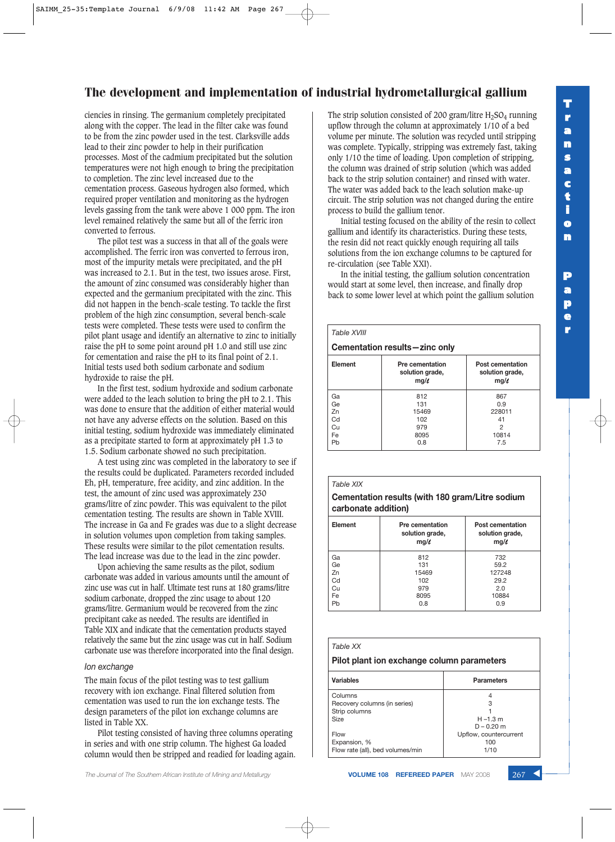ciencies in rinsing. The germanium completely precipitated along with the copper. The lead in the filter cake was found to be from the zinc powder used in the test. Clarksville adds lead to their zinc powder to help in their purification processes. Most of the cadmium precipitated but the solution temperatures were not high enough to bring the precipitation to completion. The zinc level increased due to the cementation process. Gaseous hydrogen also formed, which required proper ventilation and monitoring as the hydrogen levels gassing from the tank were above 1 000 ppm. The iron level remained relatively the same but all of the ferric iron converted to ferrous.

The pilot test was a success in that all of the goals were accomplished. The ferric iron was converted to ferrous iron, most of the impurity metals were precipitated, and the pH was increased to 2.1. But in the test, two issues arose. First, the amount of zinc consumed was considerably higher than expected and the germanium precipitated with the zinc. This did not happen in the bench-scale testing. To tackle the first problem of the high zinc consumption, several bench-scale tests were completed. These tests were used to confirm the pilot plant usage and identify an alternative to zinc to initially raise the pH to some point around pH 1.0 and still use zinc for cementation and raise the pH to its final point of 2.1. Initial tests used both sodium carbonate and sodium hydroxide to raise the pH.

In the first test, sodium hydroxide and sodium carbonate were added to the leach solution to bring the pH to 2.1. This was done to ensure that the addition of either material would not have any adverse effects on the solution. Based on this initial testing, sodium hydroxide was immediately eliminated as a precipitate started to form at approximately pH 1.3 to 1.5. Sodium carbonate showed no such precipitation.

A test using zinc was completed in the laboratory to see if the results could be duplicated. Parameters recorded included Eh, pH, temperature, free acidity, and zinc addition. In the test, the amount of zinc used was approximately 230 grams/litre of zinc powder. This was equivalent to the pilot cementation testing. The results are shown in Table XVIII. The increase in Ga and Fe grades was due to a slight decrease in solution volumes upon completion from taking samples. These results were similar to the pilot cementation results. The lead increase was due to the lead in the zinc powder.

Upon achieving the same results as the pilot, sodium carbonate was added in various amounts until the amount of zinc use was cut in half. Ultimate test runs at 180 grams/litre sodium carbonate, dropped the zinc usage to about 120 grams/litre. Germanium would be recovered from the zinc precipitant cake as needed. The results are identified in Table XIX and indicate that the cementation products stayed relatively the same but the zinc usage was cut in half. Sodium carbonate use was therefore incorporated into the final design.

#### *Ion exchange*

The main focus of the pilot testing was to test gallium recovery with ion exchange. Final filtered solution from cementation was used to run the ion exchange tests. The design parameters of the pilot ion exchange columns are listed in Table XX.

Pilot testing consisted of having three columns operating in series and with one strip column. The highest Ga loaded column would then be stripped and readied for loading again. The strip solution consisted of 200 gram/litre  $H_2SO_4$  running upflow through the column at approximately 1/10 of a bed volume per minute. The solution was recycled until stripping was complete. Typically, stripping was extremely fast, taking only 1/10 the time of loading. Upon completion of stripping, the column was drained of strip solution (which was added back to the strip solution container) and rinsed with water. The water was added back to the leach solution make-up circuit. The strip solution was not changed during the entire process to build the gallium tenor.

Initial testing focused on the ability of the resin to collect gallium and identify its characteristics. During these tests, the resin did not react quickly enough requiring all tails solutions from the ion exchange columns to be captured for re-circulation (see Table XXI).

In the initial testing, the gallium solution concentration would start at some level, then increase, and finally drop back to some lower level at which point the gallium solution

## *Table XVIII* **Cementation results—zinc only** Element Pre cementation **Prost cementation**

|    | solution grade,<br>mg/L | solution grade,<br>$mg/\ell$ |
|----|-------------------------|------------------------------|
| Ga | 812                     | 867                          |
| Ge | 131                     | 0.9                          |
| Zn | 15469                   | 228011                       |
| Cd | 102                     | 41                           |
| Cu | 979                     | 2                            |
| Fe | 8095                    | 10814                        |
| Pb | 0.8                     | 7.5                          |

### *Table XIX*

**Cementation results (with 180 gram/Litre sodium carbonate addition)**

| <b>Element</b> | Pre cementation<br>solution grade,<br>$mg/\ell$ | Post cementation<br>solution grade,<br>$mg/\ell$ |  |
|----------------|-------------------------------------------------|--------------------------------------------------|--|
| Ga             | 812                                             | 732                                              |  |
| Ge             | 131                                             | 59.2                                             |  |
| Zn             | 15469                                           | 127248                                           |  |
| Cd             | 102                                             | 29.2                                             |  |
| Cu             | 979                                             | 2.0                                              |  |
| Fe             | 8095                                            | 10884                                            |  |
| Pb             | 0.8                                             | 0.9                                              |  |
|                |                                                 |                                                  |  |

### *Table XX* **Pilot plant ion exchange column parameters Variables Parameters** Columns 4 Recovery columns (in series) 3 Strip columns<br>Size  $H - 1.3 m$  $D - 0.20$  m Flow Upflow, countercurrent Expansion, % 100<br>Flow rate (all) bed volumes/min 1/10 Flow rate (all), bed volumes/min

**T r a n**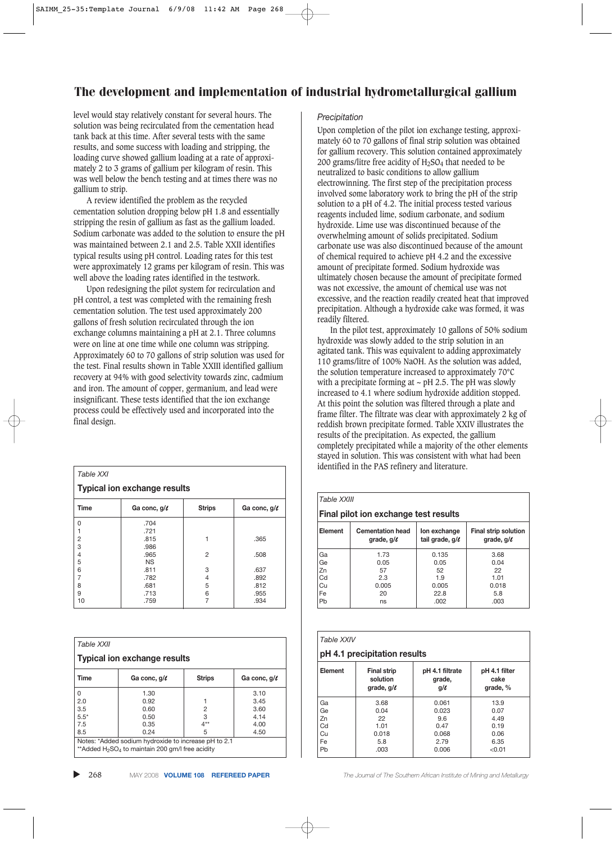level would stay relatively constant for several hours. The solution was being recirculated from the cementation head tank back at this time. After several tests with the same results, and some success with loading and stripping, the loading curve showed gallium loading at a rate of approximately 2 to 3 grams of gallium per kilogram of resin. This was well below the bench testing and at times there was no gallium to strip.

A review identified the problem as the recycled cementation solution dropping below pH 1.8 and essentially stripping the resin of gallium as fast as the gallium loaded. Sodium carbonate was added to the solution to ensure the pH was maintained between 2.1 and 2.5. Table XXII identifies typical results using pH control. Loading rates for this test were approximately 12 grams per kilogram of resin. This was well above the loading rates identified in the testwork.

Upon redesigning the pilot system for recirculation and pH control, a test was completed with the remaining fresh cementation solution. The test used approximately 200 gallons of fresh solution recirculated through the ion exchange columns maintaining a pH at 2.1. Three columns were on line at one time while one column was stripping. Approximately 60 to 70 gallons of strip solution was used for the test. Final results shown in Table XXIII identified gallium recovery at 94% with good selectivity towards zinc, cadmium and iron. The amount of copper, germanium, and lead were insignificant. These tests identified that the ion exchange process could be effectively used and incorporated into the final design.

| Table XXI                           |                   |                |                   |
|-------------------------------------|-------------------|----------------|-------------------|
| <b>Typical ion exchange results</b> |                   |                |                   |
| <b>Time</b>                         | Ga conc, $g/\ell$ | <b>Strips</b>  | Ga conc, $g/\ell$ |
| 0                                   | .704              |                |                   |
|                                     | .721              |                |                   |
| 2                                   | .815              | 1              | .365              |
| 3                                   | .986              |                |                   |
| 4                                   | .965              | $\overline{2}$ | .508              |
| 5                                   | <b>NS</b>         |                |                   |
| 6                                   | .811              | 3              | .637              |
| 7                                   | .782              | 4              | .892              |
| 8                                   | .681              | 5              | .812              |
| 9                                   | .713              | 6              | .955              |
| 10                                  | .759              |                | .934              |

| <b>Table XXII</b>                                                                                                                |                   |               |                   |
|----------------------------------------------------------------------------------------------------------------------------------|-------------------|---------------|-------------------|
| <b>Typical ion exchange results</b>                                                                                              |                   |               |                   |
| Time                                                                                                                             | Ga conc, $q/\ell$ | <b>Strips</b> | Ga conc, $q/\ell$ |
| <sup>0</sup>                                                                                                                     | 1.30              |               | 3.10              |
| 2.0                                                                                                                              | 0.92              |               | 3.45              |
| 3.5                                                                                                                              | 0.60              | 2             | 3.60              |
| $5.5*$                                                                                                                           | 0.50              | 3             | 4.14              |
| 7.5                                                                                                                              | 0.35              | $4**$         | 4.00              |
| 8.5                                                                                                                              | 0.24              | 5             | 4.50              |
| Notes: *Added sodium hydroxide to increase pH to 2.1<br>**Added H <sub>2</sub> SO <sub>4</sub> to maintain 200 gm/l free acidity |                   |               |                   |

#### ▲

#### *Precipitation*

Upon completion of the pilot ion exchange testing, approximately 60 to 70 gallons of final strip solution was obtained for gallium recovery. This solution contained approximately 200 grams/litre free acidity of  $H<sub>2</sub>SO<sub>4</sub>$  that needed to be neutralized to basic conditions to allow gallium electrowinning. The first step of the precipitation process involved some laboratory work to bring the pH of the strip solution to a pH of 4.2. The initial process tested various reagents included lime, sodium carbonate, and sodium hydroxide. Lime use was discontinued because of the overwhelming amount of solids precipitated. Sodium carbonate use was also discontinued because of the amount of chemical required to achieve pH 4.2 and the excessive amount of precipitate formed. Sodium hydroxide was ultimately chosen because the amount of precipitate formed was not excessive, the amount of chemical use was not excessive, and the reaction readily created heat that improved precipitation. Although a hydroxide cake was formed, it was readily filtered.

In the pilot test, approximately 10 gallons of 50% sodium hydroxide was slowly added to the strip solution in an agitated tank. This was equivalent to adding approximately 110 grams/litre of 100% NaOH. As the solution was added, the solution temperature increased to approximately 70°C with a precipitate forming at  $\sim$  pH 2.5. The pH was slowly increased to 4.1 where sodium hydroxide addition stopped. At this point the solution was filtered through a plate and frame filter. The filtrate was clear with approximately 2 kg of reddish brown precipitate formed. Table XXIV illustrates the results of the precipitation. As expected, the gallium completely precipitated while a majority of the other elements stayed in solution. This was consistent with what had been identified in the PAS refinery and literature.

#### *Table XXIII*

| Final pilot ion exchange test results |                                            |                                 |                                         |  |  |  |
|---------------------------------------|--------------------------------------------|---------------------------------|-----------------------------------------|--|--|--|
| Element                               | <b>Cementation head</b><br>grade, $q/\ell$ | lon exchange<br>tail grade, g/c | Final strip solution<br>grade, $q/\ell$ |  |  |  |
| Ga                                    | 1.73                                       | 0.135                           | 3.68                                    |  |  |  |
| Ge                                    | 0.05                                       | 0.05                            | 0.04                                    |  |  |  |
| Zn                                    | 57                                         | 52                              | 22                                      |  |  |  |
| Cd                                    | 2.3                                        | 1.9                             | 1.01                                    |  |  |  |
| Cu                                    | 0.005                                      | 0.005                           | 0.018                                   |  |  |  |
| Fe                                    | 20                                         | 22.8                            | 5.8                                     |  |  |  |
| Pb                                    | ns                                         | .002                            | .003                                    |  |  |  |

| Table XXIV<br>pH 4.1 precipitation results |                                                   |                                       |                                   |  |
|--------------------------------------------|---------------------------------------------------|---------------------------------------|-----------------------------------|--|
| Element                                    | <b>Final strip</b><br>solution<br>grade, $q/\ell$ | pH 4.1 filtrate<br>grade,<br>$q/\ell$ | pH 4.1 filter<br>cake<br>grade, % |  |
| Ga                                         | 3.68                                              | 0.061                                 | 13.9                              |  |
| Ge                                         | 0.04                                              | 0.023                                 | 0.07                              |  |
| Zn                                         | 22                                                | 9.6                                   | 4.49                              |  |
| Cd                                         | 1.01                                              | 0.47                                  | 0.19                              |  |
| Cu                                         | 0.018                                             | 0.068                                 | 0.06                              |  |
| Fe                                         | 5.8                                               | 2.79                                  | 6.35                              |  |
| Pb                                         | .003                                              | 0.006                                 | < 0.01                            |  |

268 MAY 2008 **VOLUME 108 REFEREED PAPER** *The Journal of The Southern African Institute of Mining and Metallurgy*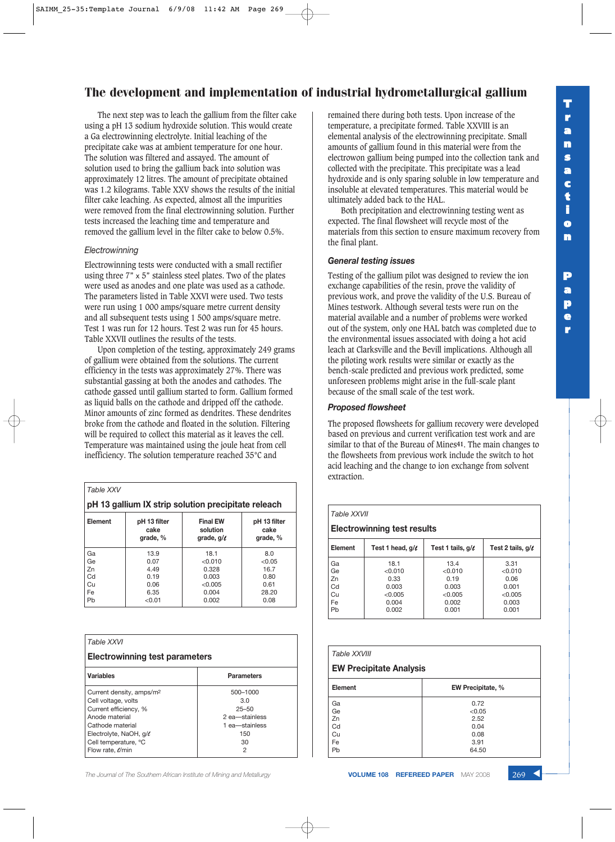The next step was to leach the gallium from the filter cake using a pH 13 sodium hydroxide solution. This would create a Ga electrowinning electrolyte. Initial leaching of the precipitate cake was at ambient temperature for one hour. The solution was filtered and assayed. The amount of solution used to bring the gallium back into solution was approximately 12 litres. The amount of precipitate obtained was 1.2 kilograms. Table XXV shows the results of the initial filter cake leaching. As expected, almost all the impurities were removed from the final electrowinning solution. Further tests increased the leaching time and temperature and removed the gallium level in the filter cake to below 0.5%.

#### *Electrowinning*

Electrowinning tests were conducted with a small rectifier using three  $7" \times 5"$  stainless steel plates. Two of the plates were used as anodes and one plate was used as a cathode. The parameters listed in Table XXVI were used. Two tests were run using 1 000 amps/square metre current density and all subsequent tests using 1 500 amps/square metre. Test 1 was run for 12 hours. Test 2 was run for 45 hours. Table XXVII outlines the results of the tests.

Upon completion of the testing, approximately 249 grams of gallium were obtained from the solutions. The current efficiency in the tests was approximately 27%. There was substantial gassing at both the anodes and cathodes. The cathode gassed until gallium started to form. Gallium formed as liquid balls on the cathode and dripped off the cathode. Minor amounts of zinc formed as dendrites. These dendrites broke from the cathode and floated in the solution. Filtering will be required to collect this material as it leaves the cell. Temperature was maintained using the joule heat from cell inefficiency. The solution temperature reached 35°C and

*Table XXV*

**pH 13 gallium IX strip solution precipitate releach**

| Element | pH 13 filter<br>cake<br>grade, % | <b>Final EW</b><br>solution<br>grade, $q/\ell$ | pH 13 filter<br>cake<br>grade, % |
|---------|----------------------------------|------------------------------------------------|----------------------------------|
| Ga      | 13.9                             | 18.1                                           | 8.0                              |
| Ge      | 0.07                             | < 0.010                                        | < 0.05                           |
| Zn      | 4.49                             | 0.328                                          | 16.7                             |
| Cd      | 0.19                             | 0.003                                          | 0.80                             |
| Cu      | 0.06                             | < 0.005                                        | 0.61                             |
| Fe      | 6.35                             | 0.004                                          | 28.20                            |
| Pb      | < 0.01                           | 0.002                                          | 0.08                             |
|         |                                  |                                                |                                  |

| Table XXVI                                   |                       |  |  |  |
|----------------------------------------------|-----------------------|--|--|--|
| Electrowinning test parameters               |                       |  |  |  |
| <b>Variables</b>                             | <b>Parameters</b>     |  |  |  |
| Current density, amps/m <sup>2</sup>         | 500-1000              |  |  |  |
| Cell voltage, volts<br>Current efficiency, % | 3.0<br>$25 - 50$      |  |  |  |
| Anode material                               | 2 ea-stainless        |  |  |  |
| Cathode material<br>Electrolyte, NaOH, g/e   | 1 ea-stainless<br>150 |  |  |  |
| Cell temperature, °C                         | 30                    |  |  |  |
| Flow rate, e/min                             | 2                     |  |  |  |

**The Journal of The Southern African Institute of Mining and Metallurgy <b>VOLUME 108 REFEREED PAPER** MAY 2008 269 **4** 

remained there during both tests. Upon increase of the temperature, a precipitate formed. Table XXVIII is an elemental analysis of the electrowinning precipitate. Small amounts of gallium found in this material were from the electrowon gallium being pumped into the collection tank and collected with the precipitate. This precipitate was a lead hydroxide and is only sparing soluble in low temperature and insoluble at elevated temperatures. This material would be ultimately added back to the HAL.

Both precipitation and electrowinning testing went as expected. The final flowsheet will recycle most of the materials from this section to ensure maximum recovery from the final plant.

### *General testing issues*

Testing of the gallium pilot was designed to review the ion exchange capabilities of the resin, prove the validity of previous work, and prove the validity of the U.S. Bureau of Mines testwork. Although several tests were run on the material available and a number of problems were worked out of the system, only one HAL batch was completed due to the environmental issues associated with doing a hot acid leach at Clarksville and the Bevill implications. Although all the piloting work results were similar or exactly as the bench-scale predicted and previous work predicted, some unforeseen problems might arise in the full-scale plant because of the small scale of the test work.

### *Proposed flowsheet*

The proposed flowsheets for gallium recovery were developed based on previous and current verification test work and are similar to that of the Bureau of Mines**41**. The main changes to the flowsheets from previous work include the switch to hot acid leaching and the change to ion exchange from solvent extraction.

### *Table XXVII* **Electrowinning test results Element** | Test 1 head,  $g/\ell$  | Test 1 tails,  $g/\ell$  | Test 2 tails,  $g/\ell$ Ga | 18.1 | 13.4 | 3.31 Ge <0.010 <0.010 <0.010 Zn 0.33 0.19 0.06 Cd | 0.003 | 0.003 | 0.001 Cu  $\begin{array}{|c|c|c|c|c|}\n\hline\n\text{Cu} & & \text{<0.005} & & \text{<0.005} \\
\hline\n\text{Fe} & & & 0.004 & & 0.002 & & 0.003 \\
\hline\n\end{array}$ Fe 0.004 0.002 0.003 Pb 0.002 0.001 0.001

| Table XXVIII<br><b>EW Precipitate Analysis</b> |                                                         |  |  |  |
|------------------------------------------------|---------------------------------------------------------|--|--|--|
| Element                                        | EW Precipitate, %                                       |  |  |  |
| Ga<br>Ge<br>Zn<br>Cd<br>Сu<br>Fe<br>Pb         | 0.72<br>< 0.05<br>2.52<br>0.04<br>0.08<br>3.91<br>64.50 |  |  |  |

**P a p e r**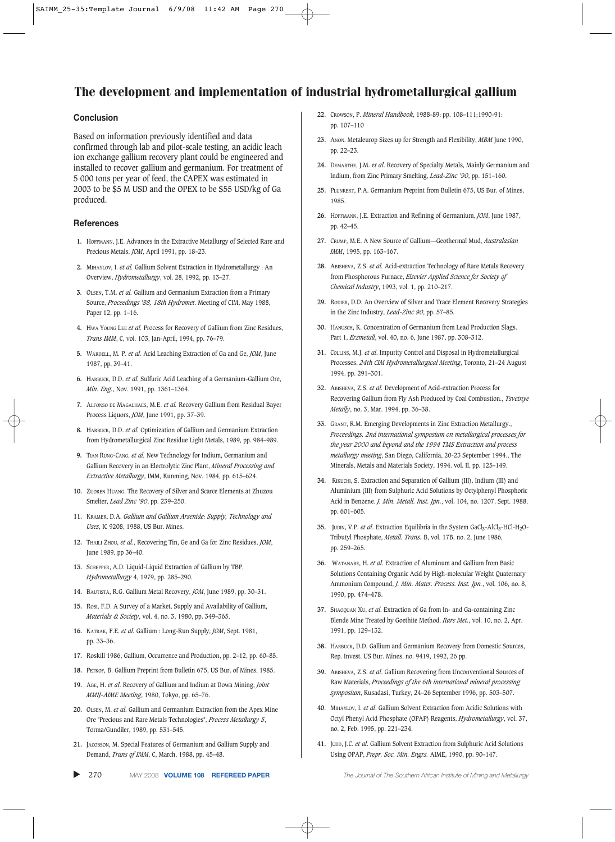### **Conclusion**

Based on information previously identified and data confirmed through lab and pilot-scale testing, an acidic leach ion exchange gallium recovery plant could be engineered and installed to recover gallium and germanium. For treatment of 5 000 tons per year of feed, the CAPEX was estimated in 2003 to be \$5 M USD and the OPEX to be \$55 USD/kg of Ga produced.

### **References**

- **1.** HOFFMANN, J.E. Advances in the Extractive Metallurgy of Selected Rare and Precious Metals, *JOM*, April 1991, pp. 18–23.
- **2.** MIHAYLOV, I. *et al.* Gallium Solvent Extraction in Hydrometallurgy : An Overview, *Hydrometallurgy*, vol. 28, 1992, pp. 13–27.
- **3.** OLSEN, T.M. *et al.* Gallium and Germanium Extraction from a Primary Source, *Proceedings '88, 18th Hydromet*. Meeting of CIM, May 1988, Paper 12, pp. 1–16.
- **4.** HWA YOUNG LEE *et al.* Process for Recovery of Gallium from Zinc Residues, *Trans IMM*, C, vol. 103, Jan-April, 1994, pp. 76–79.
- **5.** WARDELL, M. P. *et al.* Acid Leaching Extraction of Ga and Ge, *JOM*, June 1987, pp. 39–41.
- **6.** HARBUCK, D.D. *et al.* Sulfuric Acid Leaching of a Germanium-Gallium Ore, *Min. Eng.*, Nov. 1991, pp. 1361–1364.
- **7.** ALFONSO DE MAGALHAES, M.E. *et al.* Recovery Gallium from Residual Bayer Process Liquors, *JOM*, June 1991, pp. 37–39.
- **8.** HARBUCK, D.D. *et al.* Optimization of Gallium and Germanium Extraction from Hydrometallurgical Zinc Residue Light Metals, 1989, pp. 984–989.
- **9.** TIAN RUNG-CANG, *et al.* New Technology for Indium, Germanium and Gallium Recovery in an Electrolytic Zinc Plant, *Mineral Processing and Extractive Metallurgy*, IMM, Kunming, Nov. 1984, pp. 615–624.
- **10.** ZUOREN HUANG. The Recovery of Silver and Scarce Elements at Zhuzou Smelter, *Lead Zinc '90*, pp. 239–250.
- **11.** KRAMER, D.A. *Gallium and Gallium Arsenide: Supply, Technology and Uses*, IC 9208, 1988, US Bur. Mines.
- **12.** THAILI ZHOU, *et al.*, Recovering Tin, Ge and Ga for Zinc Residues, *JOM*, June 1989, pp 36–40.
- **13.** SCHEPPER, A.D. Liquid-Liquid Extraction of Gallium by TBP, *Hydrometallurgy* 4, 1979, pp. 285–290.
- **14.** BAUTISTA, R.G. Gallium Metal Recovery, *JOM*, June 1989, pp. 30–31.
- **15.** ROSI, F.D. A Survey of a Market, Supply and Availability of Gallium, *Materials & Society*, vol. 4, no. 3, 1980, pp. 349–365.
- **16.** KATRAK, F.E. *et al.* Gallium : Long-Run Supply, *JOM*, Sept. 1981, pp. 33–36.
- **17.** Roskill 1986, Gallium, Occurrence and Production, pp. 2–12, pp. 60–85.
- **18.** PETKOF, B. Gallium Preprint from Bulletin 675, US Bur. of Mines, 1985.
- **19.** ABE, H. *et al*. Recovery of Gallium and Indium at Dowa Mining, *Joint MMIJ-AIME Meeting*, 1980, Tokyo, pp. 65–76.
- **20.** OLSEN, M. *et al*. Gallium and Germanium Extraction from the Apex Mine Ore "Precious and Rare Metals Technologies", *Process Metallurgy 5*, Torma/Gundiler, 1989, pp. 531–545.
- **21.** JACOBSON, M. Special Features of Germanium and Gallium Supply and Demand, *Trans of IMM*, C, March, 1988, pp. 45–48.

▲ 270 MAY 2008 **VOLUME 108 REFEREED PAPER** *The Journal of The Southern African Institute of Mining and Metallurgy*

- **22.** CROWSON, P. *Mineral Handbook*, 1988-89: pp. 108–111;1990-91: pp. 107–110
- **23.** ANON. Metaleurop Sizes up for Strength and Flexibility, *MBM* June 1990, pp. 22–23.
- **24.** DEMARTHE, J.M. e*t al*. Recovery of Specialty Metals, Mainly Germanium and Indium, from Zinc Primary Smelting, *Lead-Zinc '90*, pp. 151–160.
- **25.** PLUNKERT, P.A. Germanium Preprint from Bulletin 675, US Bur. of Mines, 1985.
- **26.** HOFFMANN, J.E. Extraction and Refining of Germanium, *JOM*, June 1987, pp. 42–45.
- **27.** CRUMP, M.E. A New Source of Gallium—Geothermal Mud, *Australasian IMM*, 1995, pp. 163–167.
- **28.** ABISHEVA, Z.S. *et al.* Acid-extraction Technology of Rare Metals Recovery from Phosphorous Furnace, *Elsevier Applied Science for Society of Chemical Industry*, 1993, vol. 1, pp. 210–217.
- **29.** RODIER, D.D. An Overview of Silver and Trace Element Recovery Strategies in the Zinc Industry, *Lead-Zinc 90*, pp. 57–85.
- **30.** HANUSCH, K. Concentration of Germanium from Lead Production Slags. Part 1, *Erzmetall*, vol. 40, no. 6, June 1987, pp. 308–312.
- **31.** COLLINS, M.J. *et al*. Impurity Control and Disposal in Hydrometallurgical Processes, *24th CIM Hydrometallurgical Meeting*, Toronto, 21–24 August 1994. pp. 291–301.
- **32.** ABISHEVA, Z.S. *et al.* Development of Acid-extraction Process for Recovering Gallium from Fly Ash Produced by Coal Combustion., *Tsvetnye Metally*, no. 3, Mar. 1994, pp. 36–38.
- **33.** GRANT, R.M. Emerging Developments in Zinc Extraction Metallurgy., *Proceedings, 2nd international symposium on metallurgical processes for the year 2000 and beyond and the 1994 TMS Extraction and process metallurgy meeting*, San Diego, California, 20-23 September 1994., The Minerals, Metals and Materials Society, 1994. vol. II, pp. 125–149.
- **34.** KIKUCHI, S. Extraction and Separation of Gallium (III), Indium (III) and Aluminium (III) from Sulphuric Acid Solutions by Octylphenyl Phosphoric Acid in Benzene. *J. Min. Metall. Inst. Jpn.*, vol. 104, no. 1207, Sept. 1988, pp. 601–605.
- **35.** JUDIN, V.P. *et al.* Extraction Equilibria in the System GaCl<sub>3</sub>-AlCl<sub>3</sub>-HCl-H<sub>2</sub>O-Tributyl Phosphate, *Metall. Trans.* B, vol. 17B, no. 2, June 1986, pp. 259–265.
- **36.** WATANABE, H. *et al*. Extraction of Aluminum and Gallium from Basic Solutions Containing Organic Acid by High-molecular Weight Quaternary Ammonium Compound, *J. Min. Mater. Process. Inst. Jpn.*, vol. 106, no. 8, 1990, pp. 474–478.
- **37.** SHAOQUAN XU, *et al*. Extraction of Ga from In- and Ga-containing Zinc Blende Mine Treated by Goethite Method, *Rare Met.*, vol. 10, no. 2, Apr. 1991, pp. 129–132.
- **38.** HARBUCK, D.D. Gallium and Germanium Recovery from Domestic Sources, Rep. Invest. US Bur. Mines, no. 9419, 1992, 26 pp.
- **39.** ABISHEVA, Z.S. *et al*. Gallium Recovering from Unconventional Sources of Raw Materials, *Proceedings of the 6th international mineral processing symposium*, Kusadasi, Turkey, 24–26 September 1996, pp. 503–507.
- **40**. MIHAYLOV, I. *et al*. Gallium Solvent Extraction from Acidic Solutions with Octyl Phenyl Acid Phosphate (OPAP) Reagents, *Hydrometallurgy*, vol. 37, no. 2, Feb. 1995, pp. 221–234.
- **41.** JUDD, J.C. *et al*. Gallium Solvent Extraction from Sulphuric Acid Solutions Using OPAP, *Prepr. Soc. Min. Engrs.* AIME, 1990, pp. 90–147.